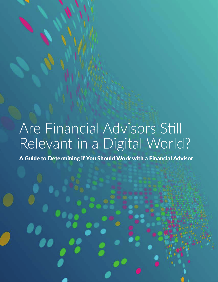## Are Financial Advisors Still Relevant in a Digital World?

A Guide to Determining if You Should Work with a Financial Advisor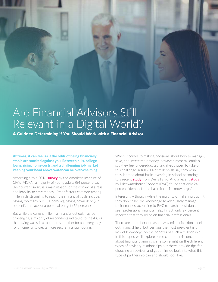## Are Financial Advisors Still Relevant in a Digital World?

A Guide to Determining if You Should Work with a Financial Advisor

At times, it can feel as if the odds of being financially stable are stacked against you. Between bills, college loans, rising home costs, and a challenging job market keeping your head above water can be overwhelming.

According a to a 2016 **survey** by the American Institute of CPAs (AICPA), a majority of young adults (84 percent) say their current salary is a main reason for their financial stress and inability to save money. Other factors common among millennials struggling to reach their financial goals include: having too many bills (81 percent), paying down debt (79 percent), and lack of a personal budget (62 percent).

But while the current millennial financial outlook may be challenging, a majority of respondents indicated to the AICPA that saving was still a top priority — either for an emergency, for a home, or to create more secure financial footing.

When it comes to making decisions about how to manage, save, and invest their money, however, most millennials say they feel undereducated and ill-equipped to take on this challenge. A full 70% of millennials say they wish they learned about basic investing in school according to a recent **study** from Wells Fargo. And a recent **study** by PricewaterhouseCoopers (PwC) found that only 24 percent "demonstrated basic financial knowledge."

Interestingly though, while the majority of millennials admit they don't have the knowledge to adequately manage their finances, according to PwC research, most don't seek professional financial help. In fact, only 27 percent reported that they relied on financial professionals.

There are a number of reasons why millennials don't seek out financial help, but perhaps the most prevalent is a lack of knowledge on the benefits of such a relationship. In this paper, we'll explore some common misconceptions about financial planning, shine some light on the different types of advisory relationships out there, provide tips for choosing an advisor, and get an inside look into what this type of partnership can and should look like.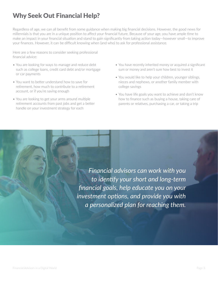### Why Seek Out Financial Help?

Regardless of age, we can all benefit from some guidance when making big financial decisions. However, the good news for millennials is that you are in a unique position to affect your financial future. Because of your age, you have ample time to make an impact in your financial situation and stand to gain significantly from taking action today—however small—to improve your finances. However, it can be difficult knowing when (and who) to ask for professional assistance.

Here are a few reasons to consider seeking professional financial advice:

- You are looking for ways to manage and reduce debt such as college loans, credit card debt and/or mortgage or car payments
- You want to better understand how to save for retirement, how much to contribute to a retirement account, or if you're saving enough
- You are looking to get your arms around multiple retirement accounts from past jobs and get a better handle on your investment strategy for each
- You have recently inherited money or acquired a significant sum or money and aren't sure how best to invest it
- You would like to help your children, younger siblings, nieces and nephews, or another family member with college savings
- You have life goals you want to achieve and don't know how to finance such as buying a house, taking care of parents or relatives, purchasing a car, or taking a trip

*Financial advisors can work with you to identify your short and long-term financial goals, help educate you on your investment options, and provide you with a personalized plan for reaching them.*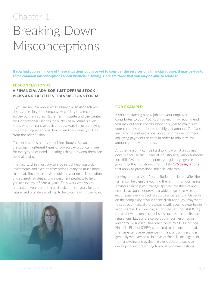## Chapter 1 Breaking Down Misconceptions

If you find yourself in one of these situations but have yet to consider the services of a financial advisor, it may be due to some common misconceptions about financial planning. Here are three that you may be able to relate to.

#### MISCONCEPTION #1

#### A FINANCIAL ADVISOR JUST OFFERS STOCK PICKS AND EXECUTES TRANSACTIONS FOR ME

If you are unclear about what a financial advisor actually does, you're in good company. According to a recent survey by the Insured Retirement Institute and the Center for Generational Kinetics, only 38% of millennials even know what a financial advisor does. Hard to justify paying for something when you don't even know what you'll get from the relationship!

The confusion is hardly surprising though. Because there are so many different types of advisors — practically one for every type of need — distinguishing between them can be challenging.

The fact is, while most advisors do in fact help you pick investments and execute transactions, many do much more than that. Broadly, an advisor looks at your financial situation and suggests strategies and investment products to help you achieve your financial goals. They work with you to understand your current financial picture, set goals for your future, and provide a roadmap to help you reach those goals.



#### FOR EXAMPLE:

If you are starting a new job and your employer contributes to your 401(k), an advisor may recommend you max out your contributions this year to make sure your company contributes the highest amount. Or if you are carrying multiple loans, an advisor may recommend adjusting payments to each in order to minimize the amount you pay in interest.

Another reason it can be hard to know what an advisor does is because the Financial Industry Regulation Authority, Inc., (FINRA)—one of the primary regulatory agencies governing the industry—currently lists **176 designations** that apply to professional financial advisors.

Looking at the advisors' accreditation (the letters after their name) can help ensure you find the right fit for your needs. Advisors can help you manage specific investments and financial accounts or provide a wide range of services to encompass every aspect of your financial picture. Depending on the complexity of your financial situation, you may want to seek out financial professionals with specific expertise in various areas. For example, a Certified Tax Specialist (CTS) can assist with complex tax issues such as tax credits, tax regulations, LLCs and S corporations, business income and home businesses and other topics. While a Certified Financial Planner (CFP®) is required to demonstrate that she has extensive experience in financial planning and is generally well-versed all in areas of financial management from analyzing and evaluating client data and goals to developing and presenting financial recommendations.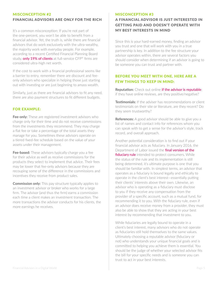#### MISCONCEPTION #2

#### FINANCIAL ADVISORS ARE ONLY FOR THE RICH

It's a common misconception: If you're not part of the one-percent, you won't be able to benefit from a financial advisor. Yet, the truth is, while there are financial advisors that do work exclusively with the ultra-wealthy, the majority work with everyday people. For example, according to a recent Certified Financial Planning Board study, **only 19% of clients** at full-service CFP® firms are considered ultra-high net worth.

If the cost to work with a financial professional seems like a barrier to entry, remember there are discount and feeonly advisors who specialize in helping those just starting out with investing or are just beginning to amass wealth.

Similarly, just as there are financial advisors to fit any need, there are also payment structures to fit different budgets.

#### FOR EXAMPLE:

**Fee-only:** These are registered investment advisors who charge only for their time and do not receive commissions from the investments they recommend. They may charge a flat fee or take a percentage of the total assets they manage for you. Sometimes these advisors operate on a tiered fixed-fee schedule based on the value of your assets under their management.

**Fee-based:** These advisors typically charge you a fee for their advice as well as receive commissions for the products they select to implement that advice. Their fees may be lower that fee-only advisors because they are recouping some of the difference in the commissions and incentives they receive from product sales.

**Commission only:** This pay structure typically applies to an investment advisor or broker who works for a large firm. The advisor (and thus the firm) earns a commission each time a client makes an investment transaction. The more transactions the advisor conducts for his clients, the more earnings he receives.

#### MISCONCEPTION #3

### A FINANCIAL ADVISOR IS JUST INTERESTED IN GETTING PAID AND DOESN'T OPERATE WITH MY BEST INTERESTS IN MIND

Since this is your hard-earned money, finding an advisor you trust and one that will work with you in a true partnership is key. In addition to the fee structure your advisor operates within, there are several factors you should consider when determining if an advisor is going to be someone you can trust and partner with.

#### BEFORE YOU MEET WITH ONE, HERE ARE A FEW THINGS TO KEEP IN MIND:

**Reputation:** Check out online **if the advisor is reputable**; if they have online reviews, are they positive/negative?

**Testimonials:** If the adviser has recommendations or client testimonials on their site or literature, are they recent? Do they seem trustworthy?

**References:** A good advisor should be able to give you a list of names and contact info for references whom you can speak with to get a sense for the advisor's style, track record, and overall approach.

Another potential consideration is to find out if your financial advisor acts as fiduciary. In January 2016, the Department of Labor issued the **final version of the fiduciary rule** intended to protect consumers. While the status of the rule and its implementation is still being determined, it's ultimate purpose is one that you should be familiar with. In simplest terms, an advisor that operates as a fiduciary is bound legally and ethically to operate in the client's best interest—essentially putting their clients' interests above their own. Likewise, an advisor who is operating as a fiduciary must disclose to you if they receive any compensation from the provider of a specific account, such as a mutual fund, for recommending it to you. With the fiduciary rule, even if an advisor does receive money from a provider, they must also be able to show that they are acting in your best interest by recommending that investment to you.

While fiduciaries are legally bound to operate in a client's best interest, many advisors who do not operate as fiduciaries still hold themselves to the same values. Ultimately choosing a reputable advisor (fiduciary or not) who understands your unique financial goals and is committed to helping you achieve them is essential. You should be the judge of whether your selected advisor fits the bill for your specific needs and is someone you can trust to act in your best interests.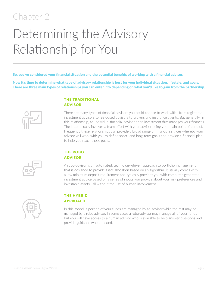### Chapter 2

# Determining the Advisory Relationship for You

So, you've considered your financial situation and the potential benefits of working with a financial advisor.

Now it's time to determine what type of advisory relationship is best for your individual situation, lifestyle, and goals. There are three main types of relationships you can enter into depending on what you'd like to gain from the partnership.

#### THE TRADITIONAL ADVISOR

There are many types of financial advisors you could choose to work with—from registered investment advisors to fee-based advisors to brokers and insurance agents. But generally, in this relationship, an individual financial advisor or an investment firm manages your finances. The latter usually involves a team effort with your advisor being your main point of contact. Frequently these relationships can provide a broad range of financial services whereby your advisor will work with you to define short- and long-term goals and provide a financial plan to help you reach those goals.



#### THE ROBO ADVISOR

A robo-advisor is an automated, technology-driven approach to portfolio management that is designed to provide asset allocation based on an algorithm. It usually comes with a low minimum deposit requirement and typically provides you with computer-generated investment advice based on a series of inputs you provide about your risk preferences and investable assets—all without the use of human involvement.

| n m |  |
|-----|--|
| mm  |  |
|     |  |

#### THE HYBRID APPROACH

In this model, a portion of your funds are managed by an advisor while the rest may be managed by a robo advisor. In some cases a robo-advisor may manage all of your funds but you will have access to a human advisor who is available to help answer questions and provide guidance when needed.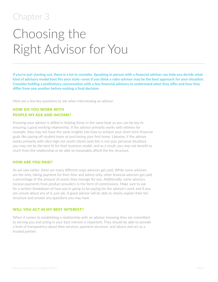### Chapter 3

## Choosing the Right Advisor for You

If you're just starting out, there is a lot to consider. Speaking in person with a financial advisor can help you decide what kind of advisory model best fits your style—even if you think a robo-advisor may be the best approach for your situation. Consider holding a preliminary conversation with a few financial advisors to understand what they offer and how they differ from one another before making a final decision.

Here are a few key questions to ask when interviewing an advisor:

#### HOW DO YOU WORK WITH PEOPLE MY AGE AND INCOME?

Knowing your advisor is skilled in helping those in the same boat as you can be key to ensuring a good working relationship. If the advisor primarily works with retirees for example, they may not have the same insights into how to achieve your short-term financial goals like paying off student loans or purchasing your first home. Likewise, if the advisor works primarily with ultra-high net worth clients (and this is not your personal situation), you may not be the best fit for their business model, and as a result, you may not benefit as much from the relationship or be able to reasonably afford the fee structure.

#### HOW ARE YOU PAID?

As we saw earlier, there are many different ways advisors get paid. While some advisors are fee-only, taking payment for their time and advice only, other financial advisors get paid a percentage of the amount of assets they manage for you. Additionally, some advisors receive payments from product providers in the form of commissions. Make sure to ask for a written breakdown of how you're going to be paying for the advisor's work and if you are unsure about any of it, just ask. A good advisor will be able to clearly explain their fee structure and answer any questions you may have.

#### WILL YOU ACT IN MY BEST INTEREST?

When it comes to establishing a relationship with an advisor, knowing they are committed to serving you and acting in your best interest is important. They should be able to provide a level of transparency about their services, payment structure, and advice and act as a trusted partner.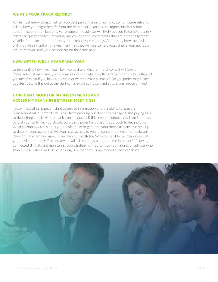#### WHAT'S YOUR TRACK RECORD?

While most every advisor will tell you past performance is no indication of future returns, asking how you might benefit from the relationship can lead to important discussions about investment philosophy. For example, the advisor will likely ask you to complete a risk tolerance questionnaire—meaning, are you open to investments that are potentially more volatile if it means the opportunity to increase your earnings. Addressing how the advisor will mitigate risk and what investment mix they will use to help you achieve your goals can assure that you and your advisor are on the same page.

#### HOW OFTEN WILL I HEAR FROM YOU?

Understanding how much you'll be in contact and what form that contact will take is important—just make sure you're comfortable with whatever the arrangement is. How often will you meet? What if you have a question or want to make a change? Do you prefer to get email updates? Setting this out at the start can alleviate confusion and ensure your peace of mind.

#### HOW CAN I MONITOR MY INVESTMENTS AND ACCESS MY PLANS IN BETWEEN MEETINGS?

Today, most of us expect instant access to information and the ability to execute transactions via our mobile devices—from ordering our dinner to managing and paying bills to depositing checks via our bank's online portal. If this level of connectivity is an important part of your daily life, you should consider a potential advisor's approach to technology. What technology tools does your advisor use to generate your financial plans and stay up to date on your accounts? Will you have access to your account and investment data online 24/7 or just when you meet to review your portfolio? Will you be able to collaborate with your advisor remotely if necessary, or will all meetings need to occur in person? If staying connected digitally and monitoring your strategy is important to you, finding an advisor who shares these values and can offer a digital experience is an important consideration.

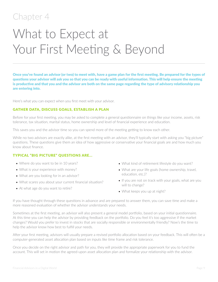### Chapter 4

## What to Expect at Your First Meeting & Beyond

Once you've found an advisor (or two) to meet with, have a game plan for the first meeting. Be prepared for the types of questions your advisor will ask you so that you can be ready with useful information. This will help ensure the meeting is productive and that you and the advisor are both on the same page regarding the type of advisory relationship you are entering into.

Here's what you can expect when you first meet with your advisor.

#### GATHER DATA, DISCUSS GOALS, ESTABLISH A PLAN

Before for your first meeting, you may be asked to complete a general questionnaire on things like your income, assets, risk tolerance, tax situation, marital status, home ownership and level of financial experience and education.

This saves you and the advisor time so you can spend more of the meeting getting to know each other.

While no two advisors are exactly alike, at the first meeting with an advisor, they'll typically start with asking you "big picture" questions. These questions give them an idea of how aggressive or conservative your financial goals are and how much you know about finance.

#### TYPICAL "BIG PICTURE" QUESTIONS ARE...

- Where do you want to be in 10 years?
- What is your experience with money?
- What are you looking for in an advisor?
- What scares you about your current financial situation?
- At what age do you want to retire?
- What kind of retirement lifestyle do you want?
- What are your life goals (home ownership, travel, education, etc.)?
- If you are not on track with your goals, what are you will to change?
- What keeps you up at night?

If you have thought through these questions in advance and are prepared to answer them, you can save time and make a more reasoned evaluation of whether the advisor understands your needs.

Sometimes at the first meeting, an advisor will also present a general model portfolio, based on your initial questionnaire. At this time you can help the advisor by providing feedback on the portfolio. Do you feel it's too aggressive if the market changes? Would you prefer to invest in stocks that are socially responsible or environmentally friendly? Now's the time to help the advisor know how best to fulfill your needs.

After your first meeting, advisors will usually prepare a revised portfolio allocation based on your feedback. This will often be a computer-generated asset allocation plan based on inputs like time frame and risk tolerance.

Once you decide on the right advisor and path for you, they will provide the appropriate paperwork for you to fund the account. This will set in motion the agreed-upon asset allocation plan and formalize your relationship with the advisor.